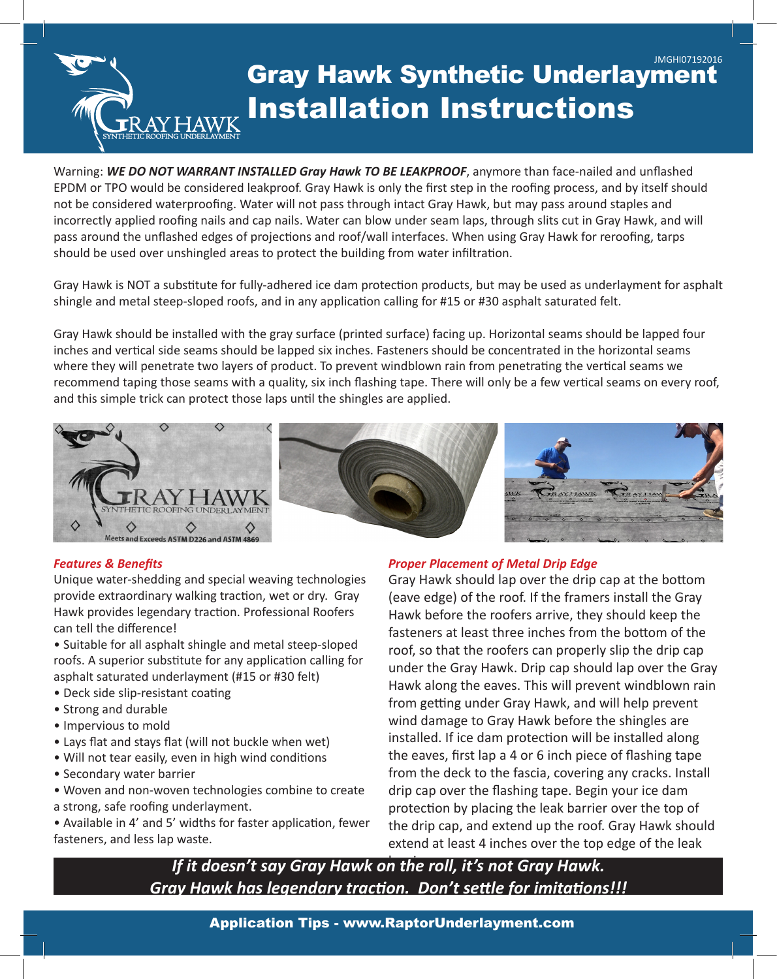# Gray Hawk Synthetic Underlayment Installation Instructions JMGHI07192016 SYNTHETIC ROOFING UNDERLAYMENT

Warning: *WE DO NOT WARRANT INSTALLED Gray Hawk TO BE LEAKPROOF*, anymore than face-nailed and unflashed EPDM or TPO would be considered leakproof. Gray Hawk is only the first step in the roofing process, and by itself should not be considered waterproofing. Water will not pass through intact Gray Hawk, but may pass around staples and incorrectly applied roofing nails and cap nails. Water can blow under seam laps, through slits cut in Gray Hawk, and will pass around the unflashed edges of projections and roof/wall interfaces. When using Gray Hawk for reroofing, tarps should be used over unshingled areas to protect the building from water infiltration.

Gray Hawk is NOT a substitute for fully-adhered ice dam protection products, but may be used as underlayment for asphalt shingle and metal steep-sloped roofs, and in any application calling for #15 or #30 asphalt saturated felt.

Gray Hawk should be installed with the gray surface (printed surface) facing up. Horizontal seams should be lapped four inches and vertical side seams should be lapped six inches. Fasteners should be concentrated in the horizontal seams where they will penetrate two layers of product. To prevent windblown rain from penetrating the vertical seams we recommend taping those seams with a quality, six inch flashing tape. There will only be a few vertical seams on every roof, and this simple trick can protect those laps until the shingles are applied.



#### *Features & Benefits*

Unique water-shedding and special weaving technologies provide extraordinary walking traction, wet or dry. Gray Hawk provides legendary traction. Professional Roofers can tell the difference!

• Suitable for all asphalt shingle and metal steep-sloped roofs. A superior substitute for any application calling for asphalt saturated underlayment (#15 or #30 felt)

- Deck side slip-resistant coating
- Strong and durable
- Impervious to mold
- Lays flat and stays flat (will not buckle when wet)
- Will not tear easily, even in high wind conditions
- Secondary water barrier
- Woven and non-woven technologies combine to create a strong, safe roofing underlayment.

• Available in 4' and 5' widths for faster application, fewer fasteners, and less lap waste.

### *Proper Placement of Metal Drip Edge*

Gray Hawk should lap over the drip cap at the bottom (eave edge) of the roof. If the framers install the Gray Hawk before the roofers arrive, they should keep the fasteners at least three inches from the bottom of the roof, so that the roofers can properly slip the drip cap under the Gray Hawk. Drip cap should lap over the Gray Hawk along the eaves. This will prevent windblown rain from getting under Gray Hawk, and will help prevent wind damage to Gray Hawk before the shingles are installed. If ice dam protection will be installed along the eaves, first lap a 4 or 6 inch piece of flashing tape from the deck to the fascia, covering any cracks. Install drip cap over the flashing tape. Begin your ice dam protection by placing the leak barrier over the top of the drip cap, and extend up the roof. Gray Hawk should extend at least 4 inches over the top edge of the leak

If it doesn't say Gray Hawk on the roll, it's not Gray Hawk. *Gray Hawk has legendary traction. Don't settle for imitations!!!*

Application Tips - www.RaptorUnderlayment.com